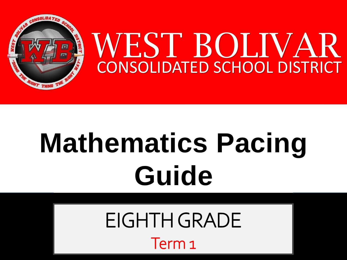

# **Mathematics Pacing Guide**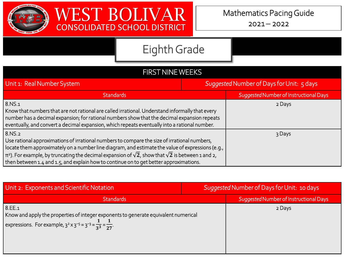



| <b>FIRST NINE WEEKS</b>                                                                                                                                                                                                                                                                                                                                                                                                     |                                           |                                        |  |  |
|-----------------------------------------------------------------------------------------------------------------------------------------------------------------------------------------------------------------------------------------------------------------------------------------------------------------------------------------------------------------------------------------------------------------------------|-------------------------------------------|----------------------------------------|--|--|
| Unit 1: Real Number System                                                                                                                                                                                                                                                                                                                                                                                                  | Suggested Number of Days for Unit: 5 days |                                        |  |  |
| <b>Standards</b>                                                                                                                                                                                                                                                                                                                                                                                                            |                                           | Suggested Number of Instructional Days |  |  |
| 8.NS.1<br>Know that numbers that are not rational are called irrational. Understand informally that every<br>number has a decimal expansion; for rational numbers show that the decimal expansion repeats<br>eventually, and convert a decimal expansion, which repeats eventually into a rational number.                                                                                                                  |                                           | 2 Days                                 |  |  |
| 8.NS.2<br>Use rational approximations of irrational numbers to compare the size of irrational numbers,<br>locate them approximately on a number line diagram, and estimate the value of expressions (e.g.,<br>$\pi$ 2). For example, by truncating the decimal expansion of $\sqrt{2}$ , show that $\sqrt{2}$ is between 1 and 2,<br>then between 1.4 and 1.5, and explain how to continue on to get better approximations. |                                           | 3 Days                                 |  |  |

| Unit 2: Exponents and Scientific Notation                                                                                                                                                | Suggested Number of Days for Unit: 10 days |                                        |
|------------------------------------------------------------------------------------------------------------------------------------------------------------------------------------------|--------------------------------------------|----------------------------------------|
| <b>Standards</b>                                                                                                                                                                         |                                            | Suggested Number of Instructional Days |
| 8.EE.1<br>Know and apply the properties of integer exponents to generate equivalent numerical<br>expressions. For example, $3^2 \times 3^{-5} = 3^{-3} = \frac{1}{3^3} = \frac{1}{27}$ . |                                            | 2 Days                                 |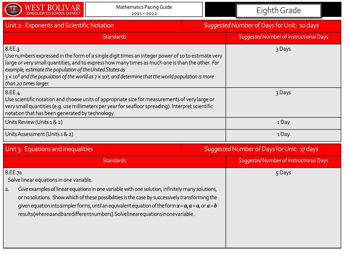

| Unit 2: Exponents and Scientific Notation                                                                                                                                                                                                                                                                                                                                                                                    | Suggested Number of Days for Unit: 10 days |                                        |
|------------------------------------------------------------------------------------------------------------------------------------------------------------------------------------------------------------------------------------------------------------------------------------------------------------------------------------------------------------------------------------------------------------------------------|--------------------------------------------|----------------------------------------|
| <b>Standards</b>                                                                                                                                                                                                                                                                                                                                                                                                             |                                            | Suggested Number of Instructional Days |
| 8.EE.3<br>Use numbers expressed in the form of a single digit times an integer power of 10 to estimate very<br>large or very small quantities, and to express how many times as much one is than the other. For<br>example, estimate the population of the United States as<br>$3 \times 10^8$ and the population of the world as $7 \times 10^9$ , and determine that the world population is more<br>than 20 times larger. |                                            | 3 Days                                 |
| 8.EE.4<br>Use scientific notation and choose units of appropriate size for measurements of very large or<br>very small quantities (e.g. use millimeters per year for seafloor spreading). Interpret scientific<br>notation that has been generated by technology.                                                                                                                                                            |                                            | 3 Days                                 |
| Units Review (Units 1 & 2)                                                                                                                                                                                                                                                                                                                                                                                                   |                                            | 1Day                                   |
| Units Assessment (Units 1 & 2)                                                                                                                                                                                                                                                                                                                                                                                               |                                            | 1 Day                                  |

| Unit 3: Equations and Inequalities |  |
|------------------------------------|--|
|                                    |  |

|                                                                                                                                                                                                                                                                                                                                                                                                      | Unit 3: Equations and Inequalities |        | Suggested Number of Days for Unit: 17 days |
|------------------------------------------------------------------------------------------------------------------------------------------------------------------------------------------------------------------------------------------------------------------------------------------------------------------------------------------------------------------------------------------------------|------------------------------------|--------|--------------------------------------------|
|                                                                                                                                                                                                                                                                                                                                                                                                      | <b>Standards</b>                   |        | Suggested Number of Instructional Days     |
| 8.EE.7a<br>Solve linear equations in one variable.                                                                                                                                                                                                                                                                                                                                                   |                                    | 5 Days |                                            |
| Give examples of linear equations in one variable with one solution, infinitely many solutions,<br>a.<br>or no solutions. Show which of these possibilities is the case by successively transforming the<br>given equation into simpler forms, until an equivalent equation of the form $x = a$ , $a = a$ , or $a = b$<br>results(whereaandbaredifferentnumbers). Solvelinearequationsinonevariable. |                                    |        |                                            |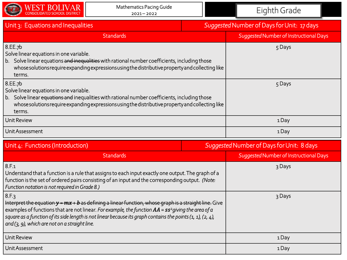

| Unit 3: Equations and Inequalities                                                                                                                                                                                                                                 | Suggested Number of Days for Unit: 17 days |                                        |  |
|--------------------------------------------------------------------------------------------------------------------------------------------------------------------------------------------------------------------------------------------------------------------|--------------------------------------------|----------------------------------------|--|
| <b>Standards</b>                                                                                                                                                                                                                                                   |                                            | Suggested Number of Instructional Days |  |
| 8.EE.7b<br>Solve linear equations in one variable.<br>b. Solve linear equations and inequalities with rational number coefficients, including those<br>whose solutions require expanding expressions using the distributive property and collecting like<br>terms. |                                            | 5 Days                                 |  |
| 8.EE.7b<br>Solve linear equations in one variable.<br>b. Solve linear equations and inequalities with rational number coefficients, including those<br>whose solutions require expanding expressions using the distributive property and collecting like<br>terms. |                                            | 5 Days                                 |  |
| Unit Review                                                                                                                                                                                                                                                        |                                            | 1Day                                   |  |
| Unit Assessment                                                                                                                                                                                                                                                    |                                            | 1Day                                   |  |

| Unit 4: Functions (Introduction)                                                                                                                                                                                                                                                                                                                                                                                                                    | Suggested Number of Days for Unit: 8 days |                                        |
|-----------------------------------------------------------------------------------------------------------------------------------------------------------------------------------------------------------------------------------------------------------------------------------------------------------------------------------------------------------------------------------------------------------------------------------------------------|-------------------------------------------|----------------------------------------|
| <b>Standards</b>                                                                                                                                                                                                                                                                                                                                                                                                                                    |                                           | Suggested Number of Instructional Days |
| 8.5.1<br>Understand that a function is a rule that assigns to each input exactly one output. The graph of a<br>  function is the set of ordered pairs consisting of an input and the corresponding output. (Note:<br>  Function notation is not required in Grade 8.)                                                                                                                                                                               |                                           | 3 Days                                 |
| 8.F.3<br>  Interpret the equation $y = mx + b$ as defining a linear function, whose graph is a straight line. Give<br>$ $ examples of functions that are not linear. <i>For example, the function <math>AA</math> = <math>ss</math><sup>2</sup>giving the area of a</i><br>$\vert$ square as a function of its side length is not linear because its graph contains the points (1, 1), (2, 4),<br>$ $ and (3, 9), which are not on a straight line. |                                           | 3 Days                                 |
| Unit Review                                                                                                                                                                                                                                                                                                                                                                                                                                         |                                           | 1Day                                   |
| Unit Assessment                                                                                                                                                                                                                                                                                                                                                                                                                                     |                                           | 1Day                                   |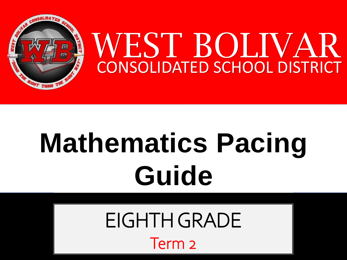

# **Mathematics Pacing Guide**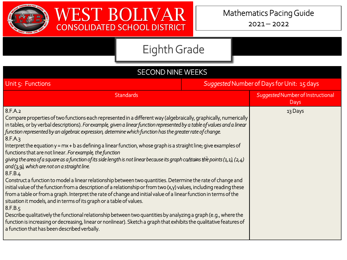



| <b>SECOND NINE WEEKS</b>                                                                                                                                                                                                                                                                                                                                                                                                                                                                                                                                                                                                                                                                                                                                                                                                                                                                                                                                                                                                                                                                                                                                                                                                                                                                                                                                                                                                                                                                                      |                                            |                                           |
|---------------------------------------------------------------------------------------------------------------------------------------------------------------------------------------------------------------------------------------------------------------------------------------------------------------------------------------------------------------------------------------------------------------------------------------------------------------------------------------------------------------------------------------------------------------------------------------------------------------------------------------------------------------------------------------------------------------------------------------------------------------------------------------------------------------------------------------------------------------------------------------------------------------------------------------------------------------------------------------------------------------------------------------------------------------------------------------------------------------------------------------------------------------------------------------------------------------------------------------------------------------------------------------------------------------------------------------------------------------------------------------------------------------------------------------------------------------------------------------------------------------|--------------------------------------------|-------------------------------------------|
| Unit $\varsigma$ : Functions                                                                                                                                                                                                                                                                                                                                                                                                                                                                                                                                                                                                                                                                                                                                                                                                                                                                                                                                                                                                                                                                                                                                                                                                                                                                                                                                                                                                                                                                                  | Suggested Number of Days for Unit: 15 days |                                           |
| <b>Standards</b>                                                                                                                                                                                                                                                                                                                                                                                                                                                                                                                                                                                                                                                                                                                                                                                                                                                                                                                                                                                                                                                                                                                                                                                                                                                                                                                                                                                                                                                                                              |                                            | Suggested Number of Instructional<br>Days |
| 8.F.A.2<br>Compare properties of two functions each represented in a different way (algebraically, graphically, numerically<br>in tables, or by verbal descriptions). For example, given a linear function represented by a table of values and a linear<br>function represented by an algebraic expression, determine which function has the greater rate of change.<br>8.F.A.3<br>Interpret the equation $y = mx + b$ as defining a linear function, whose graph is a straight line; give examples of<br>functions that are not linear. For example, the function<br>giving the area of a square as a function of its side length is not linear because its graph contains the points (1,1), (2,4)<br>and $(3,9)$ , which are not on a straight line.<br>8.F.B.4<br>Construct a function to model a linear relationship between two quantities. Determine the rate of change and<br>initial value of the function from a description of a relationship or from two (x,y) values, including reading these<br>from a table or from a graph. Interpret the rate of change and initial value of a linear function in terms of the<br>situation it models, and in terms of its graph or a table of values.<br>8.F.B.5<br>Describe qualitatively the functional relationship between two quantities by analyzing a graph (e.g., where the<br>function is increasing or decreasing, linear or nonlinear). Sketch a graph that exhibits the qualitative features of<br>a function that has been described verbally. |                                            | 13 Days                                   |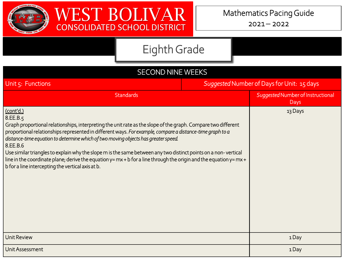



| <b>SECOND NINE WEEKS</b>                                                                                                                                                                                                                                                                                                                                                                                                                                                                                                                                                                                                                                 |                                            |                                           |  |
|----------------------------------------------------------------------------------------------------------------------------------------------------------------------------------------------------------------------------------------------------------------------------------------------------------------------------------------------------------------------------------------------------------------------------------------------------------------------------------------------------------------------------------------------------------------------------------------------------------------------------------------------------------|--------------------------------------------|-------------------------------------------|--|
| Unit 5: Functions                                                                                                                                                                                                                                                                                                                                                                                                                                                                                                                                                                                                                                        | Suggested Number of Days for Unit: 15 days |                                           |  |
| <b>Standards</b>                                                                                                                                                                                                                                                                                                                                                                                                                                                                                                                                                                                                                                         |                                            | Suggested Number of Instructional<br>Days |  |
| (cont'd.)<br>8.EE.B.5<br>Graph proportional relationships, interpreting the unit rate as the slope of the graph. Compare two different<br>proportional relationships represented in different ways. For example, compare a distance-time graph to a<br>distance-time equation to determine which of two moving objects has greater speed.<br>8.EE.B.6<br>Use similar triangles to explain why the slope m is the same between any two distinct points on a non-vertical<br>line in the coordinate plane; derive the equation $y = mx + b$ for a line through the origin and the equation $y = mx +$<br>b for a line intercepting the vertical axis at b. |                                            | 13 Days                                   |  |
| <b>Unit Review</b>                                                                                                                                                                                                                                                                                                                                                                                                                                                                                                                                                                                                                                       |                                            | 1Day                                      |  |
| Unit Assessment                                                                                                                                                                                                                                                                                                                                                                                                                                                                                                                                                                                                                                          |                                            | 1Day                                      |  |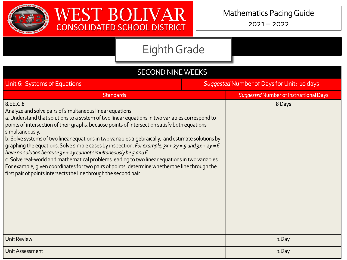



| <b>SECOND NINE WEEKS</b>                                                                                                                                                                                                                                                                                                                                                                                                                                                                                                                                                                                                                                                                                                                                                                                                                                      |                                            |                                        |
|---------------------------------------------------------------------------------------------------------------------------------------------------------------------------------------------------------------------------------------------------------------------------------------------------------------------------------------------------------------------------------------------------------------------------------------------------------------------------------------------------------------------------------------------------------------------------------------------------------------------------------------------------------------------------------------------------------------------------------------------------------------------------------------------------------------------------------------------------------------|--------------------------------------------|----------------------------------------|
| Unit 6: Systems of Equations                                                                                                                                                                                                                                                                                                                                                                                                                                                                                                                                                                                                                                                                                                                                                                                                                                  | Suggested Number of Days for Unit: 10 days |                                        |
| <b>Standards</b>                                                                                                                                                                                                                                                                                                                                                                                                                                                                                                                                                                                                                                                                                                                                                                                                                                              |                                            | Suggested Number of Instructional Days |
| 8.EE.C.8<br>Analyze and solve pairs of simultaneous linear equations.<br>a. Understand that solutions to a system of two linear equations in two variables correspond to<br>points of intersection of their graphs, because points of intersection satisfy both equations<br>simultaneously.<br>b. Solve systems of two linear equations in two variables algebraically, and estimate solutions by<br>graphing the equations. Solve simple cases by inspection. For example, $3x + 2y = 5$ and $3x + 2y = 6$<br>have no solution because $3x + 2y$ cannot simultaneously be 5 and 6.<br>c. Solve real-world and mathematical problems leading to two linear equations in two variables.<br>For example, given coordinates for two pairs of points, determine whether the line through the<br>first pair of points intersects the line through the second pair |                                            | 8 Days                                 |
| <b>Unit Review</b>                                                                                                                                                                                                                                                                                                                                                                                                                                                                                                                                                                                                                                                                                                                                                                                                                                            |                                            | 1Day                                   |
| Unit Assessment                                                                                                                                                                                                                                                                                                                                                                                                                                                                                                                                                                                                                                                                                                                                                                                                                                               |                                            | 1Day                                   |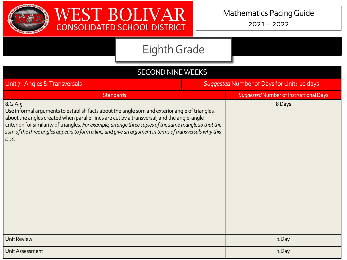



| <b>SECOND NINE WEEKS</b>                                                                                                                                                                                                                                                                                                                                                                                                                 |                                            |                                        |  |
|------------------------------------------------------------------------------------------------------------------------------------------------------------------------------------------------------------------------------------------------------------------------------------------------------------------------------------------------------------------------------------------------------------------------------------------|--------------------------------------------|----------------------------------------|--|
| Unit 7: Angles & Transversals                                                                                                                                                                                                                                                                                                                                                                                                            | Suggested Number of Days for Unit: 10 days |                                        |  |
| <b>Standards</b>                                                                                                                                                                                                                                                                                                                                                                                                                         |                                            | Suggested Number of Instructional Days |  |
| 8.G.A.5<br>Use informal arguments to establish facts about the angle sum and exterior angle of triangles,<br>about the angles created when parallel lines are cut by a transversal, and the angle-angle<br>criterion for similarity of triangles. For example, arrange three copies of the same triangle so that the<br>sum of the three angles appears to form a line, and give an argument in terms of transversals why this<br>is so. |                                            | 8 Days                                 |  |
| <b>Unit Review</b>                                                                                                                                                                                                                                                                                                                                                                                                                       |                                            | 1Day                                   |  |
| Unit Assessment                                                                                                                                                                                                                                                                                                                                                                                                                          |                                            | 1Day                                   |  |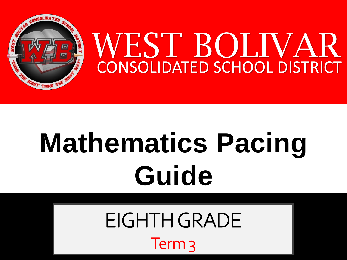

# **Mathematics Pacing Guide**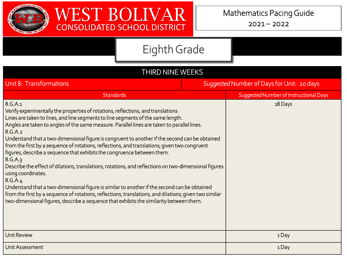



| THIRD NINE WEEKS                                                                                                                                                                                                                                                                                                                                                                                                                                                                                                                                                                                                                                                                                                                                                                                                                                                                                                                                                                                                                  |                                            |                                        |  |
|-----------------------------------------------------------------------------------------------------------------------------------------------------------------------------------------------------------------------------------------------------------------------------------------------------------------------------------------------------------------------------------------------------------------------------------------------------------------------------------------------------------------------------------------------------------------------------------------------------------------------------------------------------------------------------------------------------------------------------------------------------------------------------------------------------------------------------------------------------------------------------------------------------------------------------------------------------------------------------------------------------------------------------------|--------------------------------------------|----------------------------------------|--|
| Unit 8: Transformations                                                                                                                                                                                                                                                                                                                                                                                                                                                                                                                                                                                                                                                                                                                                                                                                                                                                                                                                                                                                           | Suggested Number of Days for Unit: 20 days |                                        |  |
| <b>Standards</b>                                                                                                                                                                                                                                                                                                                                                                                                                                                                                                                                                                                                                                                                                                                                                                                                                                                                                                                                                                                                                  |                                            | Suggested Number of Instructional Days |  |
| 8.G.A.1<br>Verify experimentally the properties of rotations, reflections, and translations<br>Lines are taken to lines, and line segments to line segments of the same length.<br>Angles are taken to angles of the same measure. Parallel lines are taken to parallel lines.<br>8.G.A.2<br>Understand that a two-dimensional figure is congruent to another if the second can be obtained<br>from the first by a sequence of rotations, reflections, and translations; given two congruent<br>figures, describe a sequence that exhibits the congruence between them.<br>8.G.A.3<br>Describe the effect of dilations, translations, rotations, and reflections on two-dimensional figures<br>using coordinates.<br>8.G.A.4<br>Understand that a two-dimensional figure is similar to another if the second can be obtained<br>from the first by a sequence of rotations, reflections, translations, and dilations; given two similar<br>two-dimensional figures, describe a sequence that exhibits the similarity between them. |                                            | 18 Days                                |  |
| <b>Unit Review</b>                                                                                                                                                                                                                                                                                                                                                                                                                                                                                                                                                                                                                                                                                                                                                                                                                                                                                                                                                                                                                |                                            | 1Day                                   |  |
| Unit Assessment                                                                                                                                                                                                                                                                                                                                                                                                                                                                                                                                                                                                                                                                                                                                                                                                                                                                                                                                                                                                                   |                                            | 1Day                                   |  |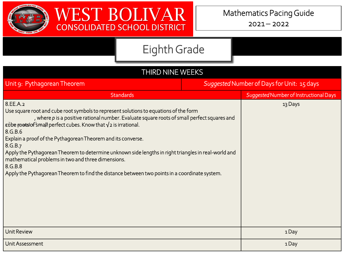



| THIRD NINE WEEKS                                                                                                                                                                                                                                                                                                                                                                                                                                                                                                                                                                                                                             |                                            |                                        |  |  |
|----------------------------------------------------------------------------------------------------------------------------------------------------------------------------------------------------------------------------------------------------------------------------------------------------------------------------------------------------------------------------------------------------------------------------------------------------------------------------------------------------------------------------------------------------------------------------------------------------------------------------------------------|--------------------------------------------|----------------------------------------|--|--|
| Unit 9: Pythagorean Theorem                                                                                                                                                                                                                                                                                                                                                                                                                                                                                                                                                                                                                  | Suggested Number of Days for Unit: 15 days |                                        |  |  |
| <b>Standards</b>                                                                                                                                                                                                                                                                                                                                                                                                                                                                                                                                                                                                                             |                                            | Suggested Number of Instructional Days |  |  |
| 8.EE.A.2<br>Use square root and cube root symbols to represent solutions to equations of the form<br>, where $p$ is a positive rational number. Evaluate square roots of small perfect squares and<br>r dbe roms of small perfect cubes. Know that $\sqrt{2}$ is irrational.<br>8.G.B.6<br>Explain a proof of the Pythagorean Theorem and its converse.<br>8.G.B.7<br>Apply the Pythagorean Theorem to determine unknown side lengths in right triangles in real-world and<br>mathematical problems in two and three dimensions.<br>8.G.B.8<br>Apply the Pythagorean Theorem to find the distance between two points in a coordinate system. |                                            | 13 Days                                |  |  |
| <b>Unit Review</b>                                                                                                                                                                                                                                                                                                                                                                                                                                                                                                                                                                                                                           |                                            | 1Day                                   |  |  |
| Unit Assessment                                                                                                                                                                                                                                                                                                                                                                                                                                                                                                                                                                                                                              |                                            | 1Day                                   |  |  |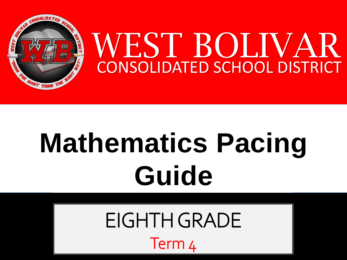

# **Mathematics Pacing Guide**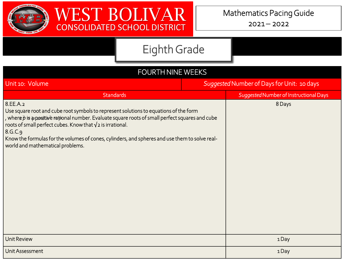



| <b>FOURTH NINE WEEKS</b>                                                                                                                                                                                                                                                                                                                                                                                                            |                                            |                                        |  |  |
|-------------------------------------------------------------------------------------------------------------------------------------------------------------------------------------------------------------------------------------------------------------------------------------------------------------------------------------------------------------------------------------------------------------------------------------|--------------------------------------------|----------------------------------------|--|--|
| Unit 10: Volume                                                                                                                                                                                                                                                                                                                                                                                                                     | Suggested Number of Days for Unit: 10 days |                                        |  |  |
| <b>Standards</b>                                                                                                                                                                                                                                                                                                                                                                                                                    |                                            | Suggested Number of Instructional Days |  |  |
| 8.EE.A.2<br>Use square root and cube root symbols to represent solutions to equations of the form<br>, where $\hat{p}$ is a positive rational number. Evaluate square roots of small perfect squares and cube<br>roots of small perfect cubes. Know that $\sqrt{2}$ is irrational.<br>8.G.C.9<br>Know the formulas for the volumes of cones, cylinders, and spheres and use them to solve real-<br>world and mathematical problems. |                                            | 8 Days                                 |  |  |
| <b>Unit Review</b>                                                                                                                                                                                                                                                                                                                                                                                                                  |                                            | 1Day                                   |  |  |
| Unit Assessment                                                                                                                                                                                                                                                                                                                                                                                                                     |                                            | 1Day                                   |  |  |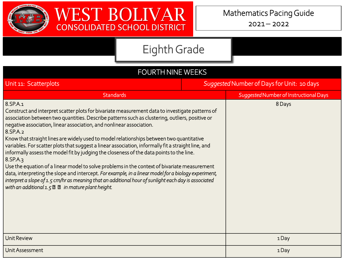



| <b>FOURTH NINE WEEKS</b>                                                                                                                                                                                                                                                                                                                                                                                                                                                                                                                                                                                                                                                                                                                                                                                                                                                                                                                                                                   |                                            |                                        |  |  |
|--------------------------------------------------------------------------------------------------------------------------------------------------------------------------------------------------------------------------------------------------------------------------------------------------------------------------------------------------------------------------------------------------------------------------------------------------------------------------------------------------------------------------------------------------------------------------------------------------------------------------------------------------------------------------------------------------------------------------------------------------------------------------------------------------------------------------------------------------------------------------------------------------------------------------------------------------------------------------------------------|--------------------------------------------|----------------------------------------|--|--|
| Unit 11: Scatterplots                                                                                                                                                                                                                                                                                                                                                                                                                                                                                                                                                                                                                                                                                                                                                                                                                                                                                                                                                                      | Suggested Number of Days for Unit: 10 days |                                        |  |  |
| <b>Standards</b>                                                                                                                                                                                                                                                                                                                                                                                                                                                                                                                                                                                                                                                                                                                                                                                                                                                                                                                                                                           |                                            | Suggested Number of Instructional Days |  |  |
| 8.SP.A.1<br>Construct and interpret scatter plots for bivariate measurement data to investigate patterns of<br>association between two quantities. Describe patterns such as clustering, outliers, positive or<br>negative association, linear association, and nonlinear association.<br>8.SP.A.2<br>Know that straight lines are widely used to model relationships between two quantitative<br>variables. For scatter plots that suggest a linear association, informally fit a straight line, and<br>informally assess the model fit by judging the closeness of the data points to the line.<br>8.SP.A.3<br>Use the equation of a linear model to solve problems in the context of bivariate measurement<br>data, interpreting the slope and intercept. For example, in a linear model for a biology experiment,<br>interpret a slope of 1.5 cm/hr as meaning that an additional hour of sunlight each day is associated<br>with an additional $1.5 \times 2$ in mature plant height. |                                            | 8 Days                                 |  |  |
| <b>Unit Review</b>                                                                                                                                                                                                                                                                                                                                                                                                                                                                                                                                                                                                                                                                                                                                                                                                                                                                                                                                                                         |                                            | 1 Day                                  |  |  |
| Unit Assessment                                                                                                                                                                                                                                                                                                                                                                                                                                                                                                                                                                                                                                                                                                                                                                                                                                                                                                                                                                            |                                            | 1Day                                   |  |  |